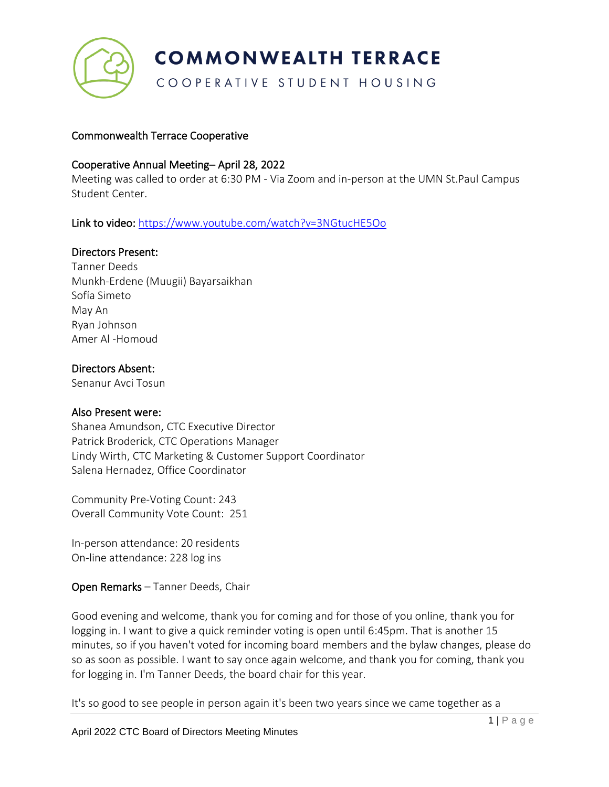

COOPERATIVE STUDENT HOUSING

## Commonwealth Terrace Cooperative

#### Cooperative Annual Meeting– April 28, 2022

Meeting was called to order at 6:30 PM - Via Zoom and in-person at the UMN St.Paul Campus Student Center.

Link to video: <https://www.youtube.com/watch?v=3NGtucHE5Oo>

#### Directors Present:

Tanner Deeds Munkh-Erdene (Muugii) Bayarsaikhan Sofía Simeto May An Ryan Johnson Amer Al -Homoud

#### Directors Absent:

Senanur Avci Tosun

#### Also Present were:

Shanea Amundson, CTC Executive Director Patrick Broderick, CTC Operations Manager Lindy Wirth, CTC Marketing & Customer Support Coordinator Salena Hernadez, Office Coordinator

Community Pre-Voting Count: 243 Overall Community Vote Count: 251

In-person attendance: 20 residents On-line attendance: 228 log ins

Open Remarks – Tanner Deeds, Chair

Good evening and welcome, thank you for coming and for those of you online, thank you for logging in. I want to give a quick reminder voting is open until 6:45pm. That is another 15 minutes, so if you haven't voted for incoming board members and the bylaw changes, please do so as soon as possible. I want to say once again welcome, and thank you for coming, thank you for logging in. I'm Tanner Deeds, the board chair for this year.

It's so good to see people in person again it's been two years since we came together as a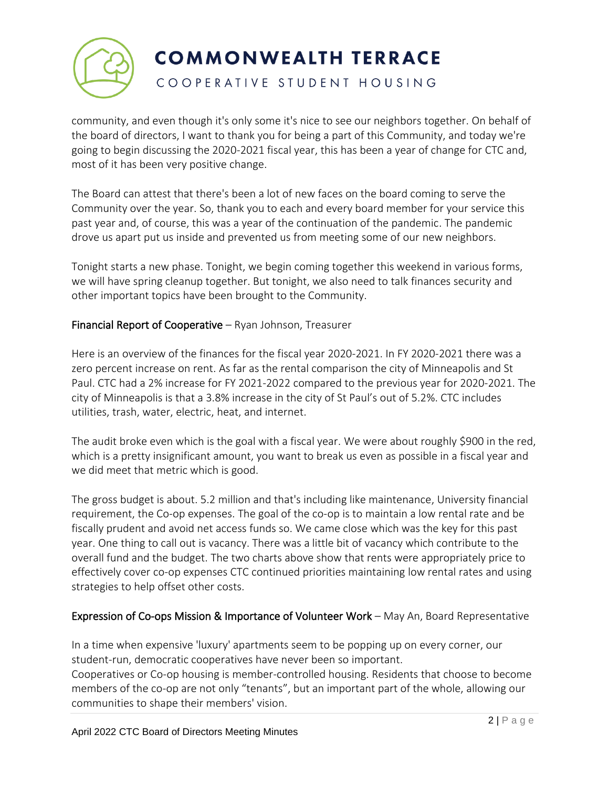

## COOPERATIVE STUDENT HOUSING

community, and even though it's only some it's nice to see our neighbors together. On behalf of the board of directors, I want to thank you for being a part of this Community, and today we're going to begin discussing the 2020-2021 fiscal year, this has been a year of change for CTC and, most of it has been very positive change.

The Board can attest that there's been a lot of new faces on the board coming to serve the Community over the year. So, thank you to each and every board member for your service this past year and, of course, this was a year of the continuation of the pandemic. The pandemic drove us apart put us inside and prevented us from meeting some of our new neighbors.

Tonight starts a new phase. Tonight, we begin coming together this weekend in various forms, we will have spring cleanup together. But tonight, we also need to talk finances security and other important topics have been brought to the Community.

## Financial Report of Cooperative – Ryan Johnson, Treasurer

Here is an overview of the finances for the fiscal year 2020-2021. In FY 2020-2021 there was a zero percent increase on rent. As far as the rental comparison the city of Minneapolis and St Paul. CTC had a 2% increase for FY 2021-2022 compared to the previous year for 2020-2021. The city of Minneapolis is that a 3.8% increase in the city of St Paul's out of 5.2%. CTC includes utilities, trash, water, electric, heat, and internet.

The audit broke even which is the goal with a fiscal year. We were about roughly \$900 in the red, which is a pretty insignificant amount, you want to break us even as possible in a fiscal year and we did meet that metric which is good.

The gross budget is about. 5.2 million and that's including like maintenance, University financial requirement, the Co-op expenses. The goal of the co-op is to maintain a low rental rate and be fiscally prudent and avoid net access funds so. We came close which was the key for this past year. One thing to call out is vacancy. There was a little bit of vacancy which contribute to the overall fund and the budget. The two charts above show that rents were appropriately price to effectively cover co-op expenses CTC continued priorities maintaining low rental rates and using strategies to help offset other costs.

## Expression of Co-ops Mission & Importance of Volunteer Work – May An, Board Representative

In a time when expensive 'luxury' apartments seem to be popping up on every corner, our student-run, democratic cooperatives have never been so important.

Cooperatives or Co-op housing is member-controlled housing. Residents that choose to become members of the co-op are not only "tenants", but an important part of the whole, allowing our communities to shape their members' vision.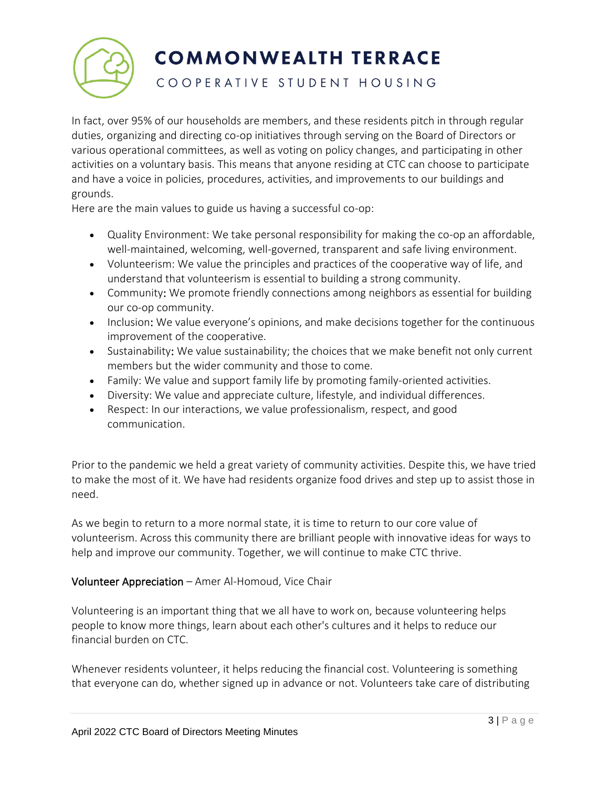

## COOPERATIVE STUDENT HOUSING

In fact, over 95% of our households are members, and these residents pitch in through regular duties, organizing and directing co-op initiatives through serving on the Board of Directors or various operational committees, as well as voting on policy changes, and participating in other activities on a voluntary basis. This means that anyone residing at CTC can choose to participate and have a voice in policies, procedures, activities, and improvements to our buildings and grounds.

Here are the main values to guide us having a successful co-op:

- Quality Environment: We take personal responsibility for making the co-op an affordable, well-maintained, welcoming, well-governed, transparent and safe living environment.
- Volunteerism: We value the principles and practices of the cooperative way of life, and understand that volunteerism is essential to building a strong community.
- Community: We promote friendly connections among neighbors as essential for building our co-op community.
- Inclusion: We value everyone's opinions, and make decisions together for the continuous improvement of the cooperative.
- Sustainability: We value sustainability; the choices that we make benefit not only current members but the wider community and those to come.
- Family: We value and support family life by promoting family-oriented activities.
- Diversity: We value and appreciate culture, lifestyle, and individual differences.
- Respect: In our interactions, we value professionalism, respect, and good communication.

Prior to the pandemic we held a great variety of community activities. Despite this, we have tried to make the most of it. We have had residents organize food drives and step up to assist those in need.

As we begin to return to a more normal state, it is time to return to our core value of volunteerism. Across this community there are brilliant people with innovative ideas for ways to help and improve our community. Together, we will continue to make CTC thrive.

## Volunteer Appreciation – Amer Al-Homoud, Vice Chair

Volunteering is an important thing that we all have to work on, because volunteering helps people to know more things, learn about each other's cultures and it helps to reduce our financial burden on CTC.

Whenever residents volunteer, it helps reducing the financial cost. Volunteering is something that everyone can do, whether signed up in advance or not. Volunteers take care of distributing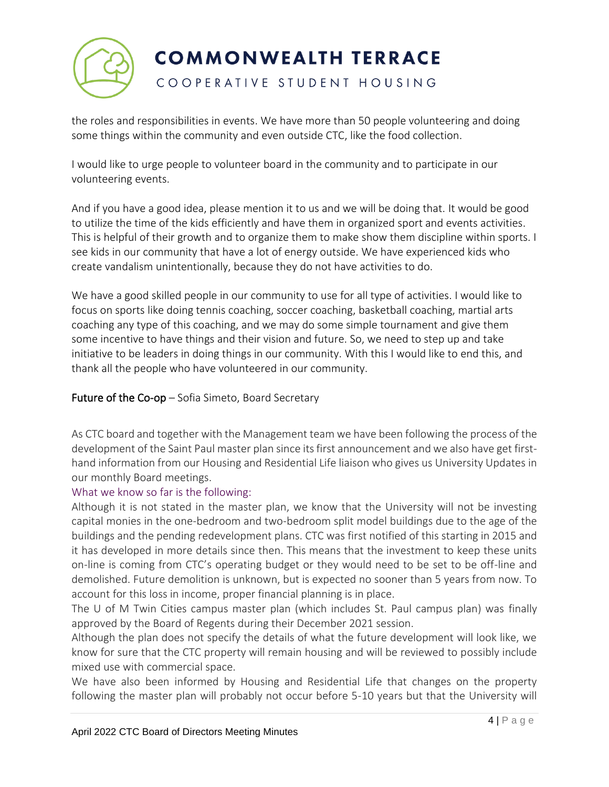

# COOPERATIVE STUDENT HOUSING

the roles and responsibilities in events. We have more than 50 people volunteering and doing some things within the community and even outside CTC, like the food collection.

I would like to urge people to volunteer board in the community and to participate in our volunteering events.

And if you have a good idea, please mention it to us and we will be doing that. It would be good to utilize the time of the kids efficiently and have them in organized sport and events activities. This is helpful of their growth and to organize them to make show them discipline within sports. I see kids in our community that have a lot of energy outside. We have experienced kids who create vandalism unintentionally, because they do not have activities to do.

We have a good skilled people in our community to use for all type of activities. I would like to focus on sports like doing tennis coaching, soccer coaching, basketball coaching, martial arts coaching any type of this coaching, and we may do some simple tournament and give them some incentive to have things and their vision and future. So, we need to step up and take initiative to be leaders in doing things in our community. With this I would like to end this, and thank all the people who have volunteered in our community.

## **Future of the Co-op**  $-$  Sofia Simeto, Board Secretary

As CTC board and together with the Management team we have been following the process of the development of the Saint Paul master plan since its first announcement and we also have get firsthand information from our Housing and Residential Life liaison who gives us University Updates in our monthly Board meetings.

## What we know so far is the following:

Although it is not stated in the master plan, we know that the University will not be investing capital monies in the one-bedroom and two-bedroom split model buildings due to the age of the buildings and the pending redevelopment plans. CTC was first notified of this starting in 2015 and it has developed in more details since then. This means that the investment to keep these units on-line is coming from CTC's operating budget or they would need to be set to be off-line and demolished. Future demolition is unknown, but is expected no sooner than 5 years from now. To account for this loss in income, proper financial planning is in place.

The U of M Twin Cities campus master plan (which includes St. Paul campus plan) was finally approved by the Board of Regents during their December 2021 session.

Although the plan does not specify the details of what the future development will look like, we know for sure that the CTC property will remain housing and will be reviewed to possibly include mixed use with commercial space.

We have also been informed by Housing and Residential Life that changes on the property following the master plan will probably not occur before 5-10 years but that the University will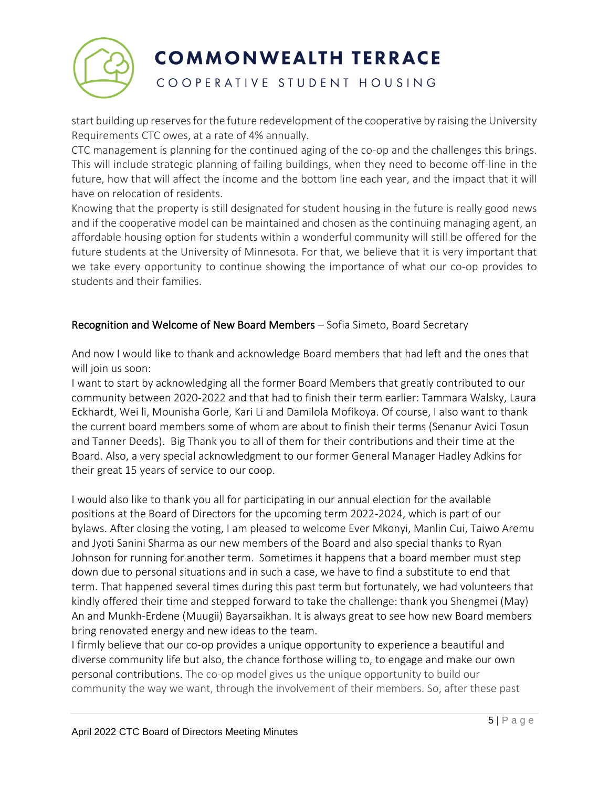

# COOPERATIVE STUDENT HOUSING

start building up reserves for the future redevelopment of the cooperative by raising the University Requirements CTC owes, at a rate of 4% annually.

CTC management is planning for the continued aging of the co-op and the challenges this brings. This will include strategic planning of failing buildings, when they need to become off-line in the future, how that will affect the income and the bottom line each year, and the impact that it will have on relocation of residents.

Knowing that the property is still designated for student housing in the future is really good news and if the cooperative model can be maintained and chosen as the continuing managing agent, an affordable housing option for students within a wonderful community will still be offered for the future students at the University of Minnesota. For that, we believe that it is very important that we take every opportunity to continue showing the importance of what our co-op provides to students and their families.

## Recognition and Welcome of New Board Members – Sofia Simeto, Board Secretary

And now I would like to thank and acknowledge Board members that had left and the ones that will join us soon:

I want to start by acknowledging all the former Board Members that greatly contributed to our community between 2020-2022 and that had to finish their term earlier: Tammara Walsky, Laura Eckhardt, Wei li, Mounisha Gorle, Kari Li and Damilola Mofikoya. Of course, I also want to thank the current board members some of whom are about to finish their terms (Senanur Avici Tosun and Tanner Deeds). Big Thank you to all of them for their contributions and their time at the Board. Also, a very special acknowledgment to our former General Manager Hadley Adkins for their great 15 years of service to our coop.

I would also like to thank you all for participating in our annual election for the available positions at the Board of Directors for the upcoming term 2022-2024, which is part of our bylaws. After closing the voting, I am pleased to welcome Ever Mkonyi, Manlin Cui, Taiwo Aremu and Jyoti Sanini Sharma as our new members of the Board and also special thanks to Ryan Johnson for running for another term. Sometimes it happens that a board member must step down due to personal situations and in such a case, we have to find a substitute to end that term. That happened several times during this past term but fortunately, we had volunteers that kindly offered their time and stepped forward to take the challenge: thank you Shengmei (May) An and Munkh-Erdene (Muugii) Bayarsaikhan. It is always great to see how new Board members bring renovated energy and new ideas to the team.

I firmly believe that our co-op provides a unique opportunity to experience a beautiful and diverse community life but also, the chance forthose willing to, to engage and make our own personal contributions. The co-op model gives us the unique opportunity to build our community the way we want, through the involvement of their members. So, after these past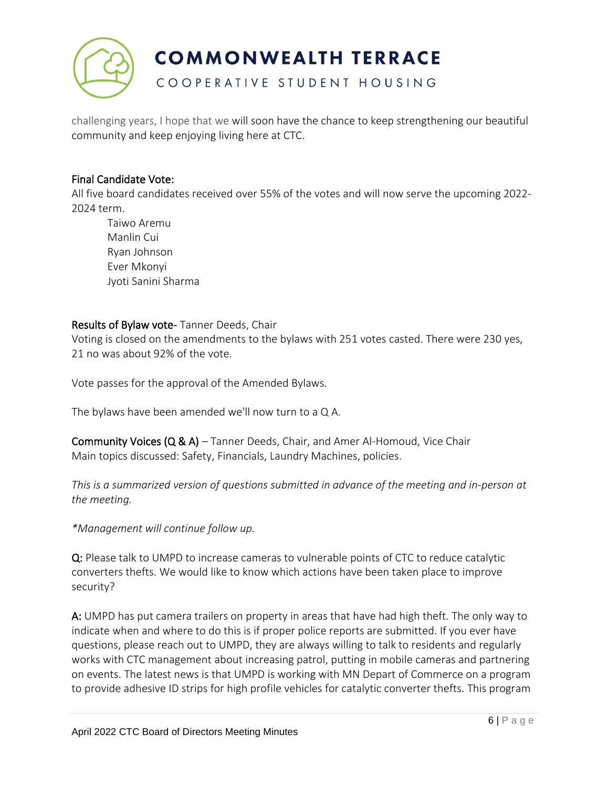

COOPERATIVE STUDENT HOUSING

challenging years, I hope that we will soon have the chance to keep strengthening our beautiful community and keep enjoying living here at CTC.

#### Final Candidate Vote:

All five board candidates received over 55% of the votes and will now serve the upcoming 2022- 2024 term.

Taiwo Aremu Manlin Cui Ryan Johnson Ever Mkonyi Jyoti Sanini Sharma

#### Results of Bylaw vote- Tanner Deeds, Chair

Voting is closed on the amendments to the bylaws with 251 votes casted. There were 230 yes, 21 no was about 92% of the vote.

Vote passes for the approval of the Amended Bylaws.

The bylaws have been amended we'll now turn to a Q A.

Community Voices (Q & A) – Tanner Deeds, Chair, and Amer Al-Homoud, Vice Chair Main topics discussed: Safety, Financials, Laundry Machines, policies.

*This is a summarized version of questions submitted in advance of the meeting and in-person at the meeting.*

*\*Management will continue follow up.* 

Q: Please talk to UMPD to increase cameras to vulnerable points of CTC to reduce catalytic converters thefts. We would like to know which actions have been taken place to improve security?

A: UMPD has put camera trailers on property in areas that have had high theft. The only way to indicate when and where to do this is if proper police reports are submitted. If you ever have questions, please reach out to UMPD, they are always willing to talk to residents and regularly works with CTC management about increasing patrol, putting in mobile cameras and partnering on events. The latest news is that UMPD is working with MN Depart of Commerce on a program to provide adhesive ID strips for high profile vehicles for catalytic converter thefts. This program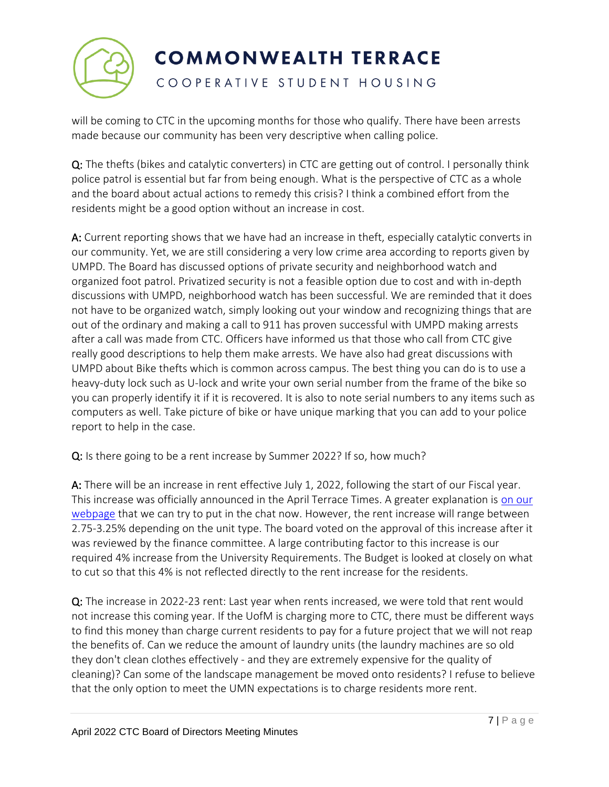

# COOPERATIVE STUDENT HOUSING

will be coming to CTC in the upcoming months for those who qualify. There have been arrests made because our community has been very descriptive when calling police.

Q: The thefts (bikes and catalytic converters) in CTC are getting out of control. I personally think police patrol is essential but far from being enough. What is the perspective of CTC as a whole and the board about actual actions to remedy this crisis? I think a combined effort from the residents might be a good option without an increase in cost.

A: Current reporting shows that we have had an increase in theft, especially catalytic converts in our community. Yet, we are still considering a very low crime area according to reports given by UMPD. The Board has discussed options of private security and neighborhood watch and organized foot patrol. Privatized security is not a feasible option due to cost and with in-depth discussions with UMPD, neighborhood watch has been successful. We are reminded that it does not have to be organized watch, simply looking out your window and recognizing things that are out of the ordinary and making a call to 911 has proven successful with UMPD making arrests after a call was made from CTC. Officers have informed us that those who call from CTC give really good descriptions to help them make arrests. We have also had great discussions with UMPD about Bike thefts which is common across campus. The best thing you can do is to use a heavy-duty lock such as U-lock and write your own serial number from the frame of the bike so you can properly identify it if it is recovered. It is also to note serial numbers to any items such as computers as well. Take picture of bike or have unique marking that you can add to your police report to help in the case.

Q: Is there going to be a rent increase by Summer 2022? If so, how much?

A: There will be an increase in rent effective July 1, 2022, following the start of our Fiscal year. This increase was officially announced in the April Terrace Times. A greater explanation is [on our](https://www.umnctc.org/residents/news/rental-rate-2022-2023.html)  [webpage](https://www.umnctc.org/residents/news/rental-rate-2022-2023.html) that we can try to put in the chat now. However, the rent increase will range between 2.75-3.25% depending on the unit type. The board voted on the approval of this increase after it was reviewed by the finance committee. A large contributing factor to this increase is our required 4% increase from the University Requirements. The Budget is looked at closely on what to cut so that this 4% is not reflected directly to the rent increase for the residents.

Q: The increase in 2022-23 rent: Last year when rents increased, we were told that rent would not increase this coming year. If the UofM is charging more to CTC, there must be different ways to find this money than charge current residents to pay for a future project that we will not reap the benefits of. Can we reduce the amount of laundry units (the laundry machines are so old they don't clean clothes effectively - and they are extremely expensive for the quality of cleaning)? Can some of the landscape management be moved onto residents? I refuse to believe that the only option to meet the UMN expectations is to charge residents more rent.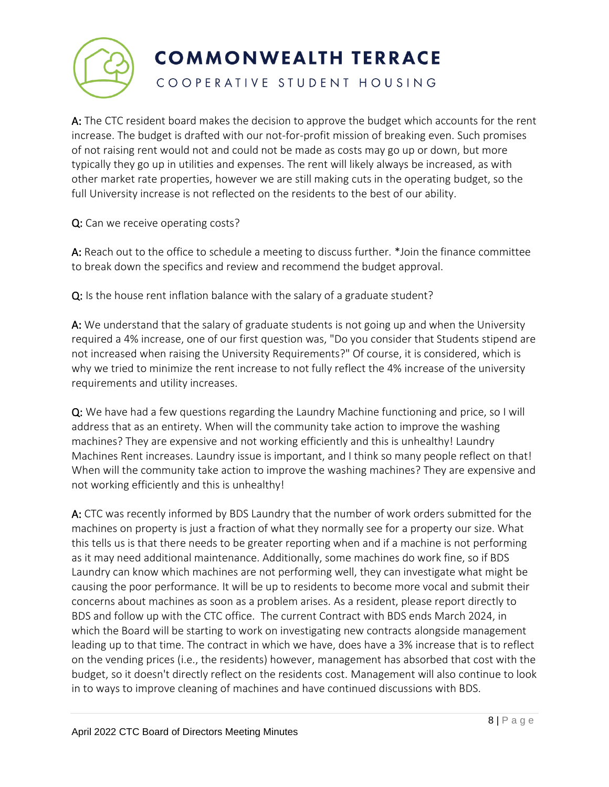

COOPERATIVE STUDENT HOUSING

A: The CTC resident board makes the decision to approve the budget which accounts for the rent increase. The budget is drafted with our not-for-profit mission of breaking even. Such promises of not raising rent would not and could not be made as costs may go up or down, but more typically they go up in utilities and expenses. The rent will likely always be increased, as with other market rate properties, however we are still making cuts in the operating budget, so the full University increase is not reflected on the residents to the best of our ability.

Q: Can we receive operating costs?

A: Reach out to the office to schedule a meeting to discuss further. \*Join the finance committee to break down the specifics and review and recommend the budget approval.

Q: Is the house rent inflation balance with the salary of a graduate student?

A: We understand that the salary of graduate students is not going up and when the University required a 4% increase, one of our first question was, "Do you consider that Students stipend are not increased when raising the University Requirements?" Of course, it is considered, which is why we tried to minimize the rent increase to not fully reflect the 4% increase of the university requirements and utility increases.

Q: We have had a few questions regarding the Laundry Machine functioning and price, so I will address that as an entirety. When will the community take action to improve the washing machines? They are expensive and not working efficiently and this is unhealthy! Laundry Machines Rent increases. Laundry issue is important, and I think so many people reflect on that! When will the community take action to improve the washing machines? They are expensive and not working efficiently and this is unhealthy!

A: CTC was recently informed by BDS Laundry that the number of work orders submitted for the machines on property is just a fraction of what they normally see for a property our size. What this tells us is that there needs to be greater reporting when and if a machine is not performing as it may need additional maintenance. Additionally, some machines do work fine, so if BDS Laundry can know which machines are not performing well, they can investigate what might be causing the poor performance. It will be up to residents to become more vocal and submit their concerns about machines as soon as a problem arises. As a resident, please report directly to BDS and follow up with the CTC office. The current Contract with BDS ends March 2024, in which the Board will be starting to work on investigating new contracts alongside management leading up to that time. The contract in which we have, does have a 3% increase that is to reflect on the vending prices (i.e., the residents) however, management has absorbed that cost with the budget, so it doesn't directly reflect on the residents cost. Management will also continue to look in to ways to improve cleaning of machines and have continued discussions with BDS.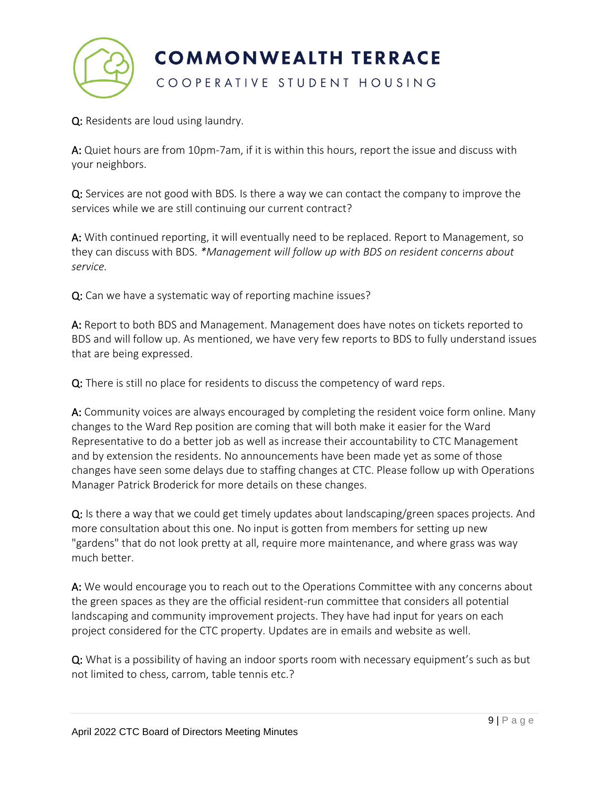

Q: Residents are loud using laundry.

A: Quiet hours are from 10pm-7am, if it is within this hours, report the issue and discuss with your neighbors.

Q: Services are not good with BDS. Is there a way we can contact the company to improve the services while we are still continuing our current contract?

A: With continued reporting, it will eventually need to be replaced. Report to Management, so they can discuss with BDS. *\*Management will follow up with BDS on resident concerns about service.*

Q: Can we have a systematic way of reporting machine issues?

A: Report to both BDS and Management. Management does have notes on tickets reported to BDS and will follow up. As mentioned, we have very few reports to BDS to fully understand issues that are being expressed.

Q: There is still no place for residents to discuss the competency of ward reps.

A: Community voices are always encouraged by completing the resident voice form online. Many changes to the Ward Rep position are coming that will both make it easier for the Ward Representative to do a better job as well as increase their accountability to CTC Management and by extension the residents. No announcements have been made yet as some of those changes have seen some delays due to staffing changes at CTC. Please follow up with Operations Manager Patrick Broderick for more details on these changes.

 $Q$ : Is there a way that we could get timely updates about landscaping/green spaces projects. And more consultation about this one. No input is gotten from members for setting up new "gardens" that do not look pretty at all, require more maintenance, and where grass was way much better.

A: We would encourage you to reach out to the Operations Committee with any concerns about the green spaces as they are the official resident-run committee that considers all potential landscaping and community improvement projects. They have had input for years on each project considered for the CTC property. Updates are in emails and website as well.

Q: What is a possibility of having an indoor sports room with necessary equipment's such as but not limited to chess, carrom, table tennis etc.?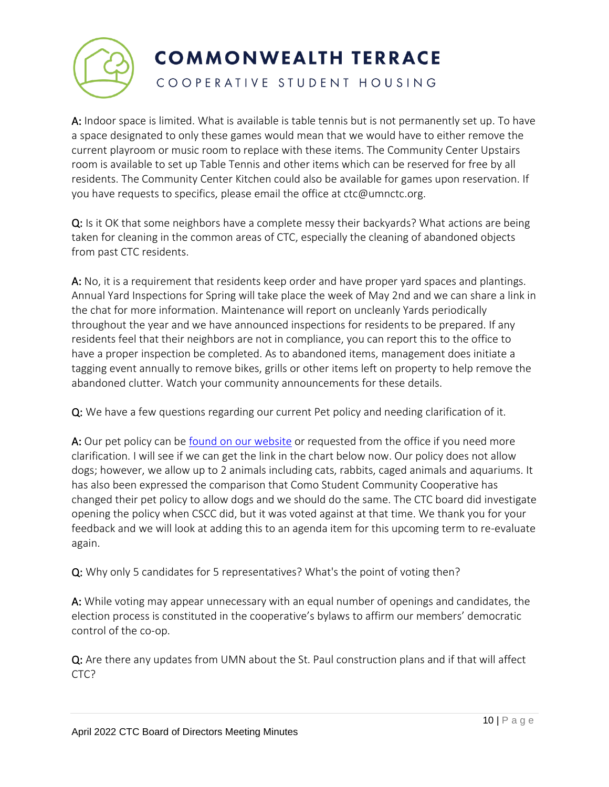

COOPERATIVE STUDENT HOUSING

A: Indoor space is limited. What is available is table tennis but is not permanently set up. To have a space designated to only these games would mean that we would have to either remove the current playroom or music room to replace with these items. The Community Center Upstairs room is available to set up Table Tennis and other items which can be reserved for free by all residents. The Community Center Kitchen could also be available for games upon reservation. If you have requests to specifics, please email the office at ctc@umnctc.org.

Q: Is it OK that some neighbors have a complete messy their backyards? What actions are being taken for cleaning in the common areas of CTC, especially the cleaning of abandoned objects from past CTC residents.

A: No, it is a requirement that residents keep order and have proper yard spaces and plantings. Annual Yard Inspections for Spring will take place the week of May 2nd and we can share a link in the chat for more information. Maintenance will report on uncleanly Yards periodically throughout the year and we have announced inspections for residents to be prepared. If any residents feel that their neighbors are not in compliance, you can report this to the office to have a proper inspection be completed. As to abandoned items, management does initiate a tagging event annually to remove bikes, grills or other items left on property to help remove the abandoned clutter. Watch your community announcements for these details.

Q: We have a few questions regarding our current Pet policy and needing clarification of it.

A: Our pet policy can be found on [our website](https://indd.adobe.com/view/e989f5bf-8cad-46c8-b895-5ca06fe930a0) or requested from the office if you need more clarification. I will see if we can get the link in the chart below now. Our policy does not allow dogs; however, we allow up to 2 animals including cats, rabbits, caged animals and aquariums. It has also been expressed the comparison that Como Student Community Cooperative has changed their pet policy to allow dogs and we should do the same. The CTC board did investigate opening the policy when CSCC did, but it was voted against at that time. We thank you for your feedback and we will look at adding this to an agenda item for this upcoming term to re-evaluate again.

Q: Why only 5 candidates for 5 representatives? What's the point of voting then?

A: While voting may appear unnecessary with an equal number of openings and candidates, the election process is constituted in the cooperative's bylaws to affirm our members' democratic control of the co-op.

Q: Are there any updates from UMN about the St. Paul construction plans and if that will affect CTC?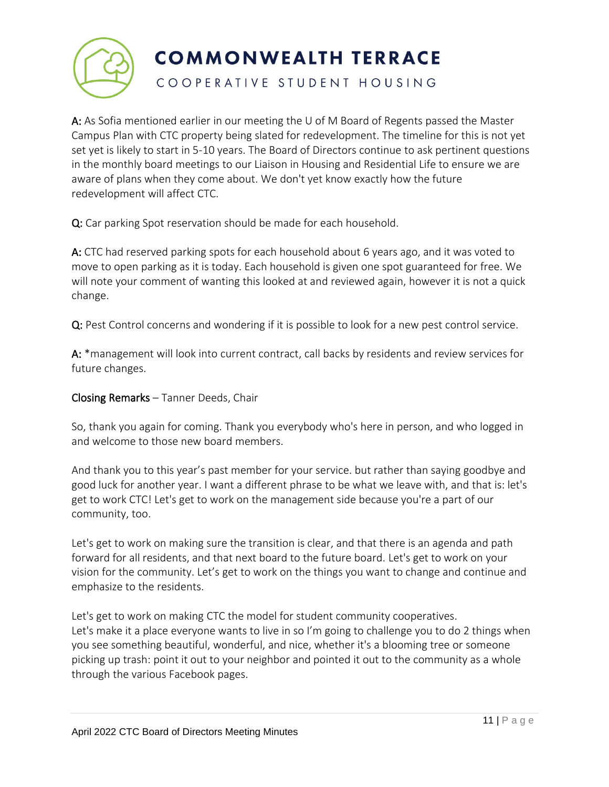

## COOPERATIVE STUDENT HOUSING

A: As Sofia mentioned earlier in our meeting the U of M Board of Regents passed the Master Campus Plan with CTC property being slated for redevelopment. The timeline for this is not yet set yet is likely to start in 5-10 years. The Board of Directors continue to ask pertinent questions in the monthly board meetings to our Liaison in Housing and Residential Life to ensure we are aware of plans when they come about. We don't yet know exactly how the future redevelopment will affect CTC.

Q: Car parking Spot reservation should be made for each household.

A: CTC had reserved parking spots for each household about 6 years ago, and it was voted to move to open parking as it is today. Each household is given one spot guaranteed for free. We will note your comment of wanting this looked at and reviewed again, however it is not a quick change.

Q: Pest Control concerns and wondering if it is possible to look for a new pest control service.

A: \*management will look into current contract, call backs by residents and review services for future changes.

## Closing Remarks – Tanner Deeds, Chair

So, thank you again for coming. Thank you everybody who's here in person, and who logged in and welcome to those new board members.

And thank you to this year's past member for your service. but rather than saying goodbye and good luck for another year. I want a different phrase to be what we leave with, and that is: let's get to work CTC! Let's get to work on the management side because you're a part of our community, too.

Let's get to work on making sure the transition is clear, and that there is an agenda and path forward for all residents, and that next board to the future board. Let's get to work on your vision for the community. Let's get to work on the things you want to change and continue and emphasize to the residents.

Let's get to work on making CTC the model for student community cooperatives. Let's make it a place everyone wants to live in so I'm going to challenge you to do 2 things when you see something beautiful, wonderful, and nice, whether it's a blooming tree or someone picking up trash: point it out to your neighbor and pointed it out to the community as a whole through the various Facebook pages.